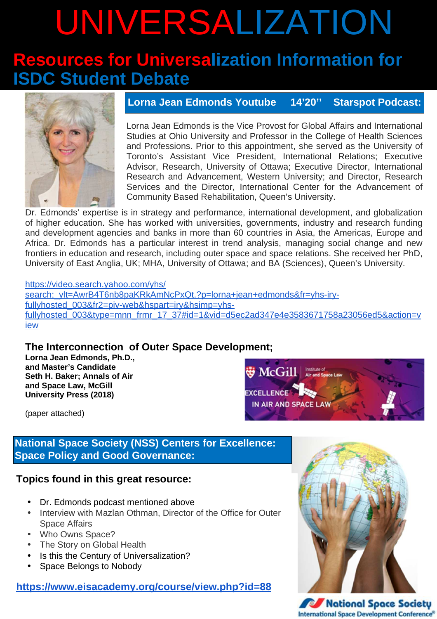# UNIVERSALIZATION

# **Resources for Universalization Information for<br>ISDC Student Debate**



#### Lorna Jean Edmonds Youtube  $14'20''$ **Starspot Podcast:**

Lorna Jean Edmonds is the Vice Provost for Global Affairs and International Studies at Ohio University and Professor in the College of Health Sciences and Professions. Prior to this appointment, she served as the University of Toronto's Assistant Vice President, International Relations; Executive Advisor, Research, University of Ottawa; Executive Director, International Research and Advancement, Western University; and Director, Research Services and the Director, International Center for the Advancement of Community Based Rehabilitation, Queen's University.

Dr. Edmonds' expertise is in strategy and performance, international development, and globalization of higher education. She has worked with universities, governments, industry and research funding and development agencies and banks in more than 60 countries in Asia, the Americas, Europe and Africa. Dr. Edmonds has a particular interest in trend analysis, managing social change and new frontiers in education and research, including outer space and space relations. She received her PhD, University of East Anglia, UK: MHA, University of Ottawa: and BA (Sciences), Queen's University,

#### https://video.search.yahoo.com/yhs/

search; ylt=AwrB4T6nb8paKRkAmNcPxQt.?p=lorna+jean+edmonds&fr=yhs-iryfullyhosted 003&fr2=piv-web&hspart=iry&hsimp=yhsfullyhosted 003&type=mnn frmr 17 37#id=1&vid=d5ec2ad347e4e3583671758a23056ed5&action=v iew

### The Interconnection of Outer Space Development;

Lorna Jean Edmonds, Ph.D., and Master's Candidate Seth H. Baker; Annals of Air and Space Law, McGill **University Press (2018)** 



(paper attached)

### **National Space Society (NSS) Centers for Excellence: Space Policy and Good Governance:**

### Topics found in this great resource:

- Dr. Edmonds podcast mentioned above
- Interview with Mazlan Othman, Director of the Office for Outer **Space Affairs**
- Who Owns Space?
- The Story on Global Health
- Is this the Century of Universalization?
- Space Belongs to Nobody

#### https://www.eisacademy.org/course/view.php?id=88



**National Space Society International Space Development Conference®**